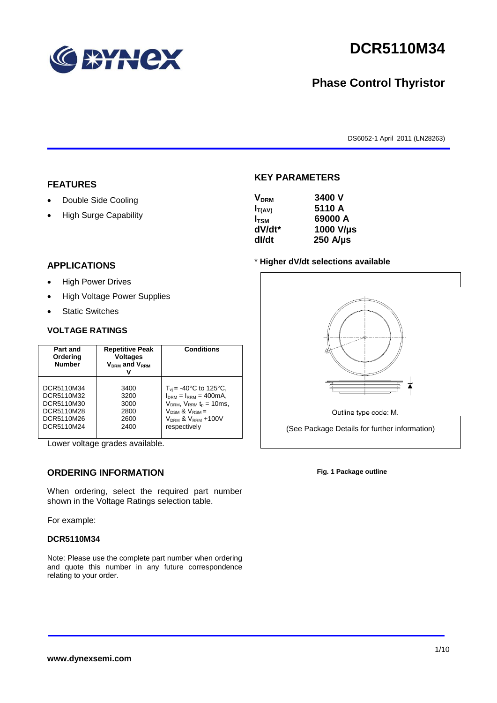

# **DCR5110M34**

## **Phase Control Thyristor**

DS6052-1 April 2011 (LN28263)

#### **FEATURES**

- Double Side Cooling
- High Surge Capability

#### **APPLICATIONS**

- High Power Drives
- High Voltage Power Supplies
- Static Switches

#### **VOLTAGE RATINGS**

| Part and<br>Ordering<br><b>Number</b> | <b>Repetitive Peak</b><br><b>Voltages</b><br>$V_{DRM}$ and $V_{RRM}$ | <b>Conditions</b>                      |
|---------------------------------------|----------------------------------------------------------------------|----------------------------------------|
| DCR5110M34                            | 3400                                                                 | $T_{\rm vi}$ = -40°C to 125°C,         |
| DCR5110M32                            | 3200                                                                 | $I_{DRM} = I_{RRM} = 400 \text{mA}$ ,  |
| DCR5110M30                            | 3000                                                                 | $V_{DRM}$ , $V_{RRM}$ $t_{p} = 10$ ms, |
| DCR5110M28                            | 2800                                                                 | $V_{DSM}$ & $V_{RSM}$ =                |
| DCR5110M26                            | 2600                                                                 | $VDRM$ & $VRRM + 100V$                 |
| DCR5110M24                            | 2400                                                                 | respectively                           |

Lower voltage grades available.

## **ORDERING INFORMATION**

When ordering, select the required part number shown in the Voltage Ratings selection table.

For example:

#### **DCR5110M34**

Note: Please use the complete part number when ordering and quote this number in any future correspondence relating to your order.

#### **KEY PARAMETERS**

| <b>V<sub>DRM</sub></b> | 3400 V           |
|------------------------|------------------|
| $I_{T(AV)}$            | 5110 A           |
| $I_{\text{TSM}}$       | 69000 A          |
| dV/dt*                 | 1000 V/µs        |
| dl/dt                  | $250$ A/ $\mu$ s |

#### \* **Higher dV/dt selections available**



Outline type code: M.

(See Package Details for further information)

**Fig. 1 Package outline**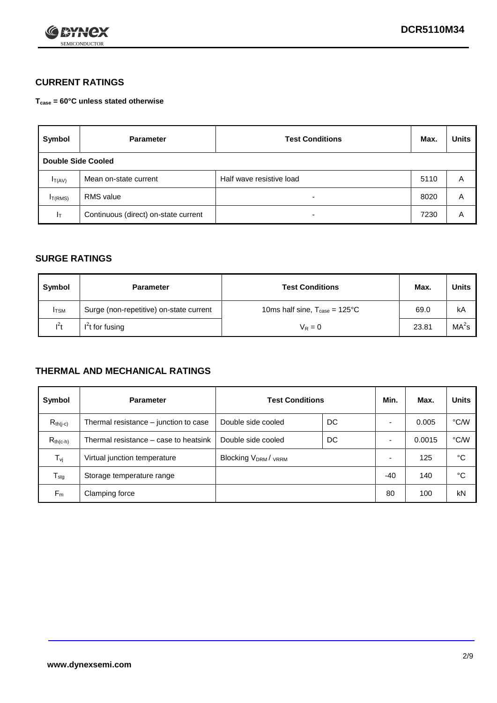

## **CURRENT RATINGS**

**Tcase = 60°C unless stated otherwise**

| Symbol             | <b>Parameter</b>                     | <b>Test Conditions</b>   | Max. | <b>Units</b> |
|--------------------|--------------------------------------|--------------------------|------|--------------|
| Double Side Cooled |                                      |                          |      |              |
| $I_{T(AV)}$        | Mean on-state current                | Half wave resistive load | 5110 | Α            |
| $I_{T(RMS)}$       | <b>RMS</b> value                     | $\overline{\phantom{0}}$ | 8020 | A            |
| Iт                 | Continuous (direct) on-state current | $\overline{\phantom{0}}$ | 7230 | Α            |

#### **SURGE RATINGS**

| Symbol       | <b>Parameter</b>                        | <b>Test Conditions</b>                            | Max.  | <b>Units</b>      |
|--------------|-----------------------------------------|---------------------------------------------------|-------|-------------------|
| <b>I</b> TSM | Surge (non-repetitive) on-state current | 10ms half sine, $T_{\text{case}} = 125^{\circ}$ C | 69.0  | kA                |
| $l^2t$       | I <sup>'</sup> t for fusing             | $V_R = 0$                                         | 23.81 | MA <sup>2</sup> s |

#### **THERMAL AND MECHANICAL RATINGS**

| Symbol           | <b>Parameter</b>                      | <b>Test Conditions</b>    |    | Min. | Max.   | <b>Units</b> |
|------------------|---------------------------------------|---------------------------|----|------|--------|--------------|
| $R_{th(i-c)}$    | Thermal resistance – junction to case | Double side cooled        | DC |      | 0.005  | °C/W         |
| $R_{th(c-h)}$    | Thermal resistance – case to heatsink | Double side cooled        | DC |      | 0.0015 | °C/W         |
| $T_{\nu j}$      | Virtual junction temperature          | <b>Blocking VDRM/VRRM</b> |    |      | 125    | °C           |
| $T_{\text{stg}}$ | Storage temperature range             |                           |    | -40  | 140    | °C           |
| $F_m$            | Clamping force                        |                           |    | 80   | 100    | kN           |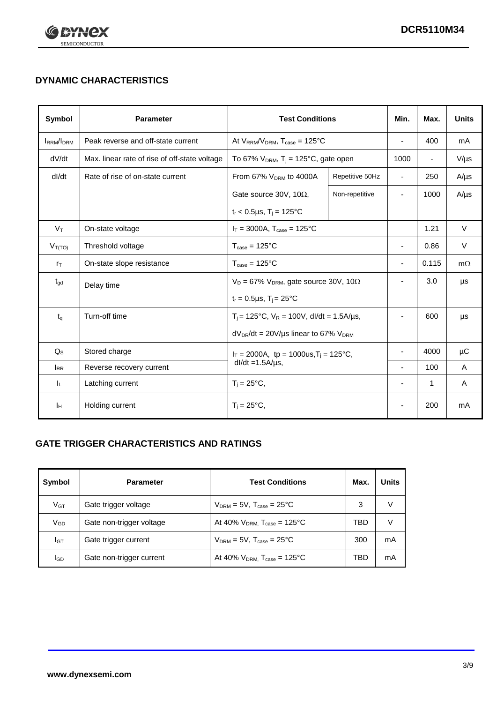

## **DYNAMIC CHARACTERISTICS**

| <b>Symbol</b>     | <b>Parameter</b>                              | <b>Test Conditions</b>                                                         |                | Min.                     | Max.                     | <b>Units</b> |
|-------------------|-----------------------------------------------|--------------------------------------------------------------------------------|----------------|--------------------------|--------------------------|--------------|
| <b>IRRM</b> /IDRM | Peak reverse and off-state current            | At $V_{RRM}/V_{DRM}$ , $T_{case} = 125^{\circ}C$                               |                | $\blacksquare$           | 400                      | mA           |
| dV/dt             | Max. linear rate of rise of off-state voltage | To 67% $V_{DRM}$ , T <sub>i</sub> = 125°C, gate open                           |                | 1000                     | $\overline{\phantom{a}}$ | $V/\mu s$    |
| dl/dt             | Rate of rise of on-state current              | From 67% $V_{DRM}$ to 4000A<br>Repetitive 50Hz                                 |                | $\overline{\phantom{a}}$ | 250                      | $A/\mu s$    |
|                   |                                               | Gate source 30V, 10 $\Omega$ ,                                                 | Non-repetitive |                          | 1000                     | $A/\mu s$    |
|                   |                                               | $t_r < 0.5 \mu s$ , $T_j = 125$ °C                                             |                |                          |                          |              |
| $V_T$             | On-state voltage                              | $I_T = 3000A$ , $T_{case} = 125^{\circ}C$                                      |                |                          | 1.21                     | $\vee$       |
| $V_{T(TO)}$       | Threshold voltage                             | $T_{\text{case}} = 125^{\circ}C$                                               |                | $\blacksquare$           | 0.86                     | $\vee$       |
| $r_{\text{T}}$    | On-state slope resistance                     | $T_{\text{case}} = 125^{\circ}C$                                               |                | $\blacksquare$           | 0.115                    | $m\Omega$    |
| $t_{\rm gd}$      | Delay time                                    | $V_D = 67\%$ V <sub>DRM</sub> , gate source 30V, 10 $\Omega$                   |                | $\overline{\phantom{a}}$ | 3.0                      | μs           |
|                   |                                               | $t_r = 0.5 \mu s$ , $T_i = 25^{\circ}C$                                        |                |                          |                          |              |
| $t_{q}$           | Turn-off time                                 | $T_i$ = 125°C, $V_R$ = 100V, dl/dt = 1.5A/µs,                                  |                | $\blacksquare$           | 600                      | μs           |
|                   |                                               | $dV_{DR}/dt = 20V/\mu s$ linear to 67% $V_{DRM}$                               |                |                          |                          |              |
| $Q_{\rm S}$       | Stored charge                                 | $I_T = 2000$ A, tp = 1000us, T <sub>i</sub> = 125°C,<br>$dl/dt = 1.5A/\mu s$ , |                |                          | 4000                     | μC           |
| $I_{RR}$          | Reverse recovery current                      |                                                                                |                |                          | 100                      | Α            |
| IL.               | Latching current                              | $T_i = 25^{\circ}C$ ,                                                          |                | $\overline{a}$           | $\mathbf{1}$             | Α            |
| Iн                | Holding current                               | $T_i = 25^{\circ}C,$                                                           |                |                          | 200                      | mA           |

## **GATE TRIGGER CHARACTERISTICS AND RATINGS**

| Symbol          | <b>Parameter</b>         | <b>Test Conditions</b>                       | Max. | <b>Units</b> |
|-----------------|--------------------------|----------------------------------------------|------|--------------|
| V <sub>GT</sub> | Gate trigger voltage     | $V_{DRM} = 5V$ , $T_{case} = 25^{\circ}C$    | 3    | V            |
| V <sub>GD</sub> | Gate non-trigger voltage | At 40% $V_{DRM}$ , $T_{case} = 125^{\circ}C$ | TBD  | V            |
| Iст             | Gate trigger current     | $V_{DRM} = 5V$ , $T_{case} = 25^{\circ}C$    | 300  | mA           |
| lgp             | Gate non-trigger current | At 40% $V_{DRM}$ , $T_{case} = 125^{\circ}C$ | TBD  | mA           |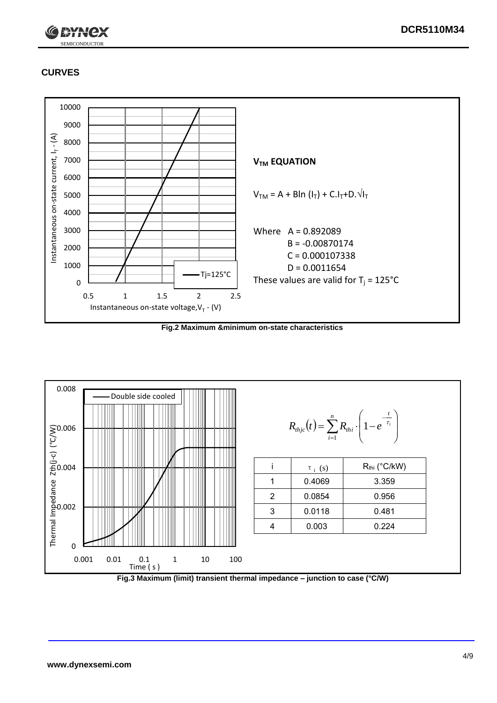

## **CURVES**



**Fig.2 Maximum &minimum on-state characteristics**



**Fig.3 Maximum (limit) transient thermal impedance – junction to case (°C/W)**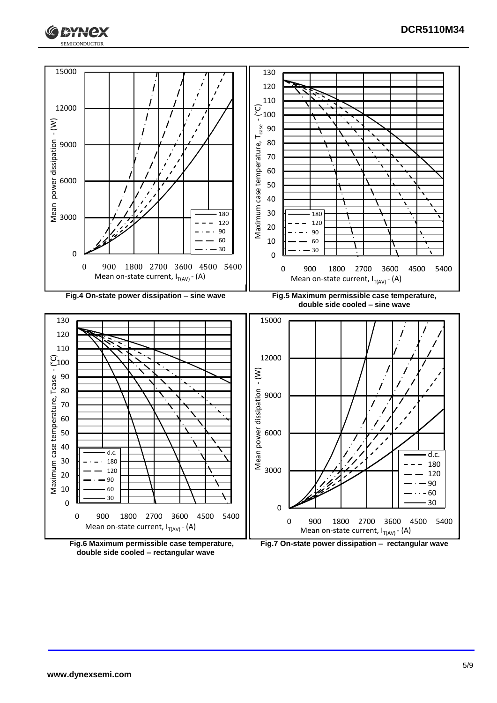



**Fig.6 Maximum permissible case temperature, double side cooled – rectangular wave**

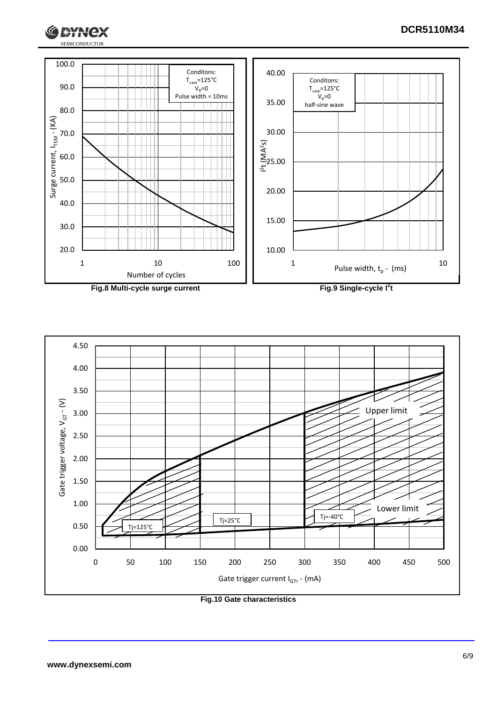



**Fig.10 Gate characteristics**

**IXYH** 

lex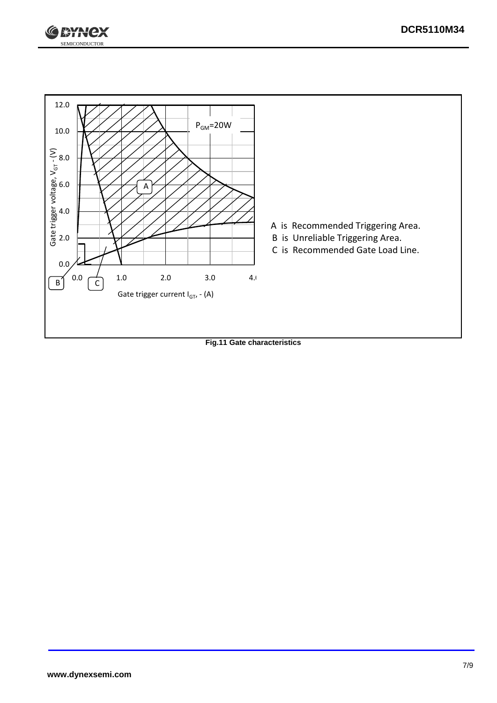



**Fig.11 Gate characteristics**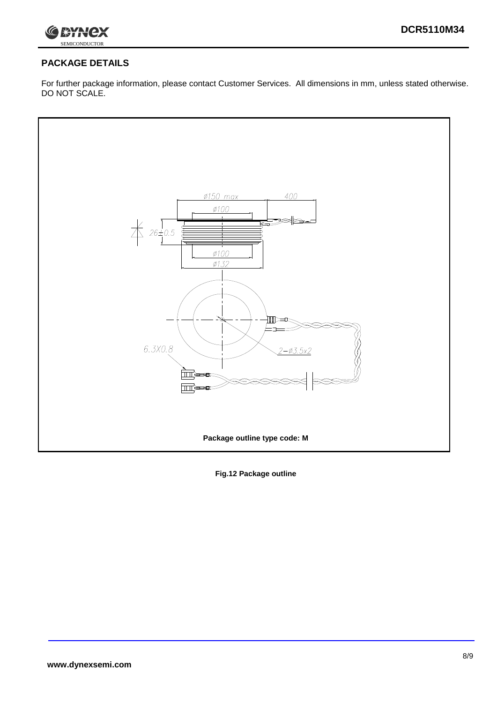

### **PACKAGE DETAILS**

For further package information, please contact Customer Services. All dimensions in mm, unless stated otherwise. DO NOT SCALE.



**Fig.12 Package outline**